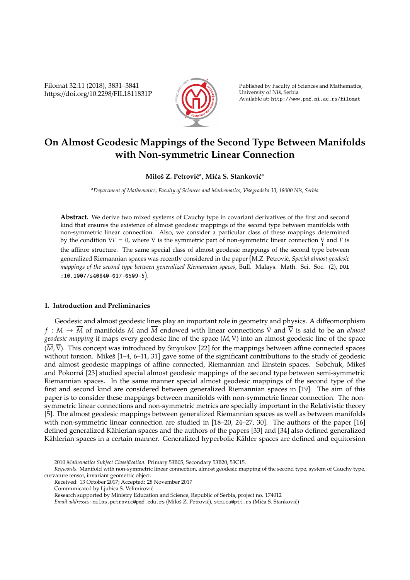Filomat 32:11 (2018), 3831–3841 https://doi.org/10.2298/FIL1811831P



Published by Faculty of Sciences and Mathematics, University of Nis, Serbia ˇ Available at: http://www.pmf.ni.ac.rs/filomat

# **On Almost Geodesic Mappings of the Second Type Between Manifolds with Non-symmetric Linear Connection**

# **Miloš Z. Petrović<sup>a</sup>, Mića S. Stanković<sup>a</sup>**

<sup>a</sup>Department of Mathematics, Faculty of Sciences and Mathematics, Višegradska 33, 18000 Niš, Serbia

**Abstract.** We derive two mixed systems of Cauchy type in covariant derivatives of the first and second kind that ensures the existence of almost geodesic mappings of the second type between manifolds with non-symmetric linear connection. Also, we consider a particular class of these mappings determined by the condition  $\nabla F = 0$ , where  $\nabla$  is the symmetric part of non-symmetric linear connection  $\sum_{1}$  and *F* is the affinor structure. The same special class of almost geodesic mappings of the second type between generalized Riemannian spaces was recently considered in the paper M.Z. Petrovic,´ *Special almost geodesic mappings of the second type between generalized Riemannian spaces*, Bull. Malays. Math. Sci. Soc. (2), DOI :10.1007/s40840-017-0509-5 .

## **1. Introduction and Preliminaries**

Geodesic and almost geodesic lines play an important role in geometry and physics. A diffeomorphism *f* : *M* → *M* of manifolds *M* and *M* endowed with linear connections ∇ and ∇ is said to be an *almost geodesic mapping* if maps every geodesic line of the space (*M*,∇) into an almost geodesic line of the space  $(\overline{M}, \overline{\nabla})$ . This concept was introduced by Sinyukov [22] for the mappings between affine connected spaces without torsion. Mikeš  $[1-4, 6-11, 31]$  gave some of the significant contributions to the study of geodesic and almost geodesic mappings of affine connected, Riemannian and Einstein spaces. Sobchuk, Mikeš and Pokorná [23] studied special almost geodesic mappings of the second type between semi-symmetric Riemannian spaces. In the same manner special almost geodesic mappings of the second type of the first and second kind are considered between generalized Riemannian spaces in [19]. The aim of this paper is to consider these mappings between manifolds with non-symmetric linear connection. The nonsymmetric linear connections and non-symmetric metrics are specially important in the Relativistic theory [5]. The almost geodesic mappings between generalized Riemannian spaces as well as between manifolds with non-symmetric linear connection are studied in [18–20, 24–27, 30]. The authors of the paper [16] defined generalized Kählerian spaces and the authors of the papers [33] and [34] also defined generalized Kählerian spaces in a certain manner. Generalized hyperbolic Kähler spaces are defined and equitorsion

<sup>2010</sup> *Mathematics Subject Classification*. Primary 53B05; Secondary 53B20, 53C15.

*Keywords*. Manifold with non-symmetric linear connection, almost geodesic mapping of the second type, system of Cauchy type, curvature tensor, invariant geometric object.

Received: 13 October 2017; Accepted: 28 November 2017

Communicated by Ljubica S. Velimirovic´

Research supported by Ministry Education and Science, Republic of Serbia, project no. 174012

*Email addresses:* milos.petrovic@pmf.edu.rs (Miloš Z. Petrović), stmica@ptt.rs (Mića S. Stanković)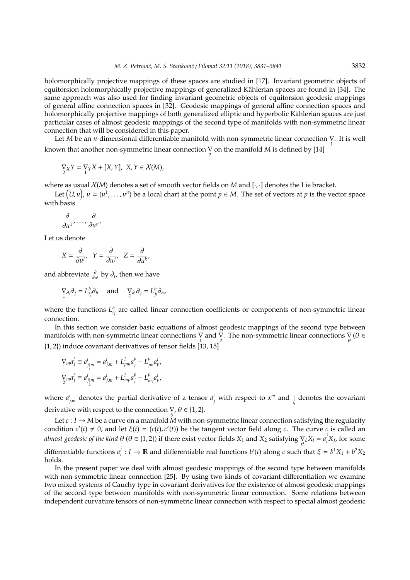holomorphically projective mappings of these spaces are studied in [17]. Invariant geometric objects of equitorsion holomorphically projective mappings of generalized Kählerian spaces are found in [34]. The same approach was also used for finding invariant geometric objects of equitorsion geodesic mappings of general affine connection spaces in [32]. Geodesic mappings of general affine connection spaces and holomorphically projective mappings of both generalized elliptic and hyperbolic Kählerian spaces are just particular cases of almost geodesic mappings of the second type of manifolds with non-symmetric linear connection that will be considered in this paper.

Let *M* be an *n*-dimensional differentiable manifold with non-symmetric linear connection  $\nabla$ . It is well known that another non-symmetric linear connection  $\frac{1}{2}$  on the manifold *M* is defined by [14]

$$
\underset{2}{\nabla_X}Y=\underset{1}{\nabla_Y}X+[X,Y],\ X,Y\in\mathcal{X}(M),
$$

where as usual  $X(M)$  denotes a set of smooth vector fields on *M* and [ $\cdot$ , $\cdot$ ] denotes the Lie bracket.

Let  $(U, u)$ ,  $u = (u^1, \ldots, u^n)$  be a local chart at the point  $p \in M$ . The set of vectors at *p* is the vector space with basis

$$
\frac{\partial}{\partial u^1},\ldots,\frac{\partial}{\partial u^n}.
$$

Let us denote

$$
X = \frac{\partial}{\partial u^i}, \quad Y = \frac{\partial}{\partial u^j}, \quad Z = \frac{\partial}{\partial u^k},
$$

and abbreviate  $\frac{\partial}{\partial u^i}$  by  $\partial_i$ , then we have

$$
\nabla_{\partial_i} \partial_j = L_{ij}^h \partial_h \quad \text{and} \quad \nabla_{\partial_i} \partial_j = L_{ji}^h \partial_h,
$$

where the functions  $L_{ij}^h$  are called linear connection coefficients or components of non-symmetric linear connection.

In this section we consider basic equations of almost geodesic mappings of the second type between manifolds with non-symmetric linear connections  $\sum_{1}$  and  $\sum_{2}$ . The non-symmetric linear connections  $\sum_{\theta} (\theta \in$  $\{1, 2\}$ ) induce covariant derivatives of tensor fields  $\begin{bmatrix} 13, 15 \end{bmatrix}$ 

$$
\begin{aligned} \nabla_{m} a_{j}^{i} &\equiv a_{j|m}^{i} = a_{j,m}^{i} + L_{pm}^{i} a_{j}^{p} - L_{jm}^{p} a_{p}^{i}, \\ \nabla_{m} a_{j}^{i} &\equiv a_{j|m}^{i} = a_{j,m}^{i} + L_{mp}^{i} a_{j}^{p} - L_{mj}^{p} a_{p}^{i}, \end{aligned}
$$

where  $a^i_{j,m}$  denotes the partial derivative of a tensor  $a^i_j$  with respect to  $x^m$  and  $\bigcup_{\theta}$  denotes the covariant derivative with respect to the connection  $\bigtriangledown$ ,  $\theta \in \{1, 2\}$ .

Let  $c: I \rightarrow M$  be a curve on a manifold M with non-symmetric linear connection satisfying the regularity condition  $c'(t) \neq 0$ , and let  $\xi(t) = (c(t), c'(t))$  be the tangent vector field along *c*. The curve *c* is called an *almost geodesic of the kind*  $\theta$  *(* $\theta \in \{1, 2\}$ *) if there exist vector fields*  $X_1$  *and*  $X_2$  *satisfying*  $\bigvee_\theta \xi X_i = a_i^j$  $i<sub>i</sub><sup>J</sup>X<sub>j</sub>$ , for some differentiable functions *a j i* : *I* → R and differentiable real functions *b<sup>i</sup>*(*t*) along *c* such that  $ξ = b<sup>1</sup>X<sub>1</sub> + b<sup>2</sup>X<sub>2</sub>$ holds.

In the present paper we deal with almost geodesic mappings of the second type between manifolds with non-symmetric linear connection [25]. By using two kinds of covariant differentiation we examine two mixed systems of Cauchy type in covariant derivatives for the existence of almost geodesic mappings of the second type between manifolds with non-symmetric linear connection. Some relations between independent curvature tensors of non-symmetric linear connection with respect to special almost geodesic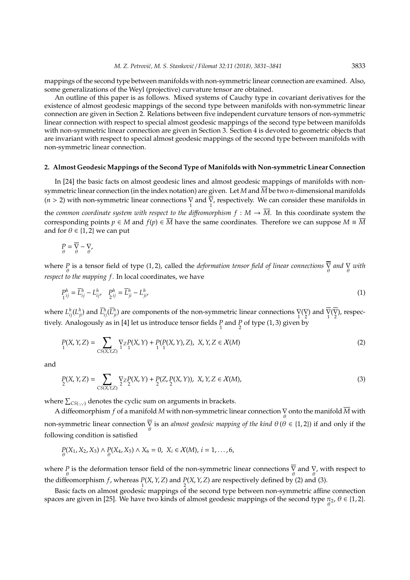mappings of the second type between manifolds with non-symmetric linear connection are examined. Also, some generalizations of the Weyl (projective) curvature tensor are obtained.

An outline of this paper is as follows. Mixed systems of Cauchy type in covariant derivatives for the existence of almost geodesic mappings of the second type between manifolds with non-symmetric linear connection are given in Section 2. Relations between five independent curvature tensors of non-symmetric linear connection with respect to special almost geodesic mappings of the second type between manifolds with non-symmetric linear connection are given in Section 3. Section 4 is devoted to geometric objects that are invariant with respect to special almost geodesic mappings of the second type between manifolds with non-symmetric linear connection.

#### **2. Almost Geodesic Mappings of the Second Type of Manifolds with Non-symmetric Linear Connection**

In [24] the basic facts on almost geodesic lines and almost geodesic mappings of manifolds with nonsymmetric linear connection (in the index notation) are given. Let *M* and *M* be two *n*-dimensional manifolds  $(n > 2)$  with non-symmetric linear connections  $\overline{V}$  and  $\overline{V}$ , respectively. We can consider these manifolds in the *common coordinate system with respect to the diffeomorphism*  $f : M \to \overline{M}$ *. In this coordinate system the* 

corresponding points  $p \in M$  and  $f(p) \in \overline{M}$  have the same coordinates. Therefore we can suppose  $M \equiv \overline{M}$ and for  $\theta \in \{1,2\}$  we can put

$$
P_{\theta} = \overline{V}_{\theta} - V_{\theta},
$$

where  $P_{\theta}$  is a tensor field of type (1, 2), called the *deformation tensor field of linear connections*  $\frac{\nabla}{\theta}$  *and*  $\frac{\nabla}{\theta}$  *with respect to the mapping f*. In local coordinates, we have

$$
P_{1ij}^{h} = \overline{L}_{ij}^{h} - L_{ij}^{h}, \quad P_{2ij}^{h} = \overline{L}_{ji}^{h} - L_{ji}^{h}, \tag{1}
$$

where  $L_{ij}^h(L_{ji}^h)$  and  $\overline{L}_{ij}^h(\overline{L}_{ji}^h)$  are components of the non-symmetric linear connections  $\sum_{1}^{\infty}(\nabla)$  and  $\overline{\nabla}(\overline{\nabla})$ , respectively. Analogously as in [4] let us introduce tensor fields  $\frac{p}{1}$  and  $\frac{p}{2}$  of type (1, 3) given by

$$
P(X, Y, Z) = \sum_{CS(X, Y, Z)} \nabla_Z P(X, Y) + P(P(X, Y), Z), \ X, Y, Z \in \mathcal{X}(M)
$$
\n(2)

and

$$
P(X, Y, Z) = \sum_{CS(X, Y, Z)} \nabla_Z P(X, Y) + P(Z, P(X, Y)), \ X, Y, Z \in \mathcal{X}(M),
$$
\n(3)

where  $\sum_{CS(\cdot,\cdot,\cdot)}$  denotes the cyclic sum on arguments in brackets.

A diffeomorphism  $f$  of a manifold  $M$  with non-symmetric linear connection  $\bigtriangledown\limits_{\theta}$  onto the manifold  $\overline{M}$  with non-symmetric linear connection  $\overline{\nabla}$  is an *almost geodesic mapping of the kind*  $\theta(\theta \in \{1,2\})$  if and only if the following condition is satisfied

$$
P_{\theta}(X_1, X_2, X_3) \wedge P_{\theta}(X_4, X_5) \wedge X_6 = 0, \ X_i \in \mathcal{X}(M), \ i = 1, ..., 6,
$$

where P is the deformation tensor field of the non-symmetric linear connections  $\overline{V}$  and  $V$ , with respect to the diffeomorphism *f*, whereas  $P(X, Y, Z)$  and  $P(X, Y, Z)$  are respectively defined by (2) and (3).

Basic facts on almost geodesic mappings of the second type between non-symmetric affine connection spaces are given in [25]. We have two kinds of almost geodesic mappings of the second type  $\pi_2$ ,  $\theta \in \{1,2\}$ .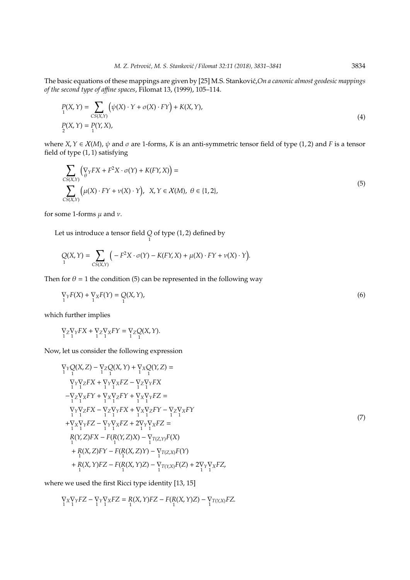The basic equations of these mappings are given by [25] M.S. Stanković, *On a canonic almost geodesic mappings of the second type of a*ffi*ne spaces*, Filomat 13, (1999), 105–114.

$$
P(X,Y) = \sum_{\substack{CS(X,Y) \\ 2}} \left( \psi(X) \cdot Y + \sigma(X) \cdot FY \right) + K(X,Y),
$$
\n
$$
P(X,Y) = P(Y,X),
$$
\n(4)

where *X*,  $Y \in X(M)$ ,  $\psi$  and  $\sigma$  are 1-forms, *K* is an anti-symmetric tensor field of type (1, 2) and *F* is a tensor field of type (1, 1) satisfying

$$
\sum_{\substack{CS(X,Y)\\CS(X,Y)}} \left( \nabla_Y FX + F^2 X \cdot \sigma(Y) + K(FY,X) \right) =
$$
\n
$$
\sum_{\substack{CS(X,Y)\\CS(X,Y)}} \left( \mu(X) \cdot FY + \nu(X) \cdot Y \right), \quad X, Y \in \mathcal{X}(M), \quad \theta \in \{1, 2\},
$$
\n(5)

for some 1-forms  $\mu$  and  $\nu$ .

Let us introduce a tensor field  $\underset{1}{Q}$  of type (1, 2) defined by

$$
Q(X,Y) = \sum_{CS(X,Y)} \Big(-F^2X\cdot \sigma(Y) - K(FY,X) + \mu(X)\cdot FY + \nu(X)\cdot Y\Big).
$$

Then for  $\theta = 1$  the condition (5) can be represented in the following way

$$
\nabla_Y F(X) + \nabla_X F(Y) = Q(X, Y),\tag{6}
$$

which further implies

$$
\nabla_Z \nabla_Y FX + \nabla_Z \nabla_X FY = \nabla_Z Q(X, Y).
$$

Now, let us consider the following expression

$$
\nabla_{Y}Q(X,Z) - \nabla_{Z}Q(X,Y) + \nabla_{X}Q(Y,Z) =\n\n\nabla_{Y}\nabla_{Z}FX + \nabla_{Y}\nabla_{X}FZ - \nabla_{Z}\nabla_{Y}FX\n\n-\nabla_{Z}\nabla_{X}FY + \nabla_{X}\nabla_{Z}FY + \nabla_{X}\nabla_{Y}FZ =\n\n\nabla_{Y}\nabla_{Z}FX - \nabla_{Z}\nabla_{Y}FX + \nabla_{X}\nabla_{Z}FY - \nabla_{Z}\nabla_{X}FY\n\n+\nabla_{X}\nabla_{Y}FZ - \nabla_{Y}\nabla_{X}FZ + 2\nabla_{Y}\nabla_{X}FZ =\n\nR(Y,Z)FX - F(R(Y,Z)X) - \nabla_{T(Z,Y)}F(X)\n\n+ R(X,Z)FY - F(R(X,Z)Y) - \nabla_{T(Z,X)}F(Y)\n\n+ R(X,Y)FZ - F(R(X,Y)Z) - \nabla_{T(Y,X)}F(Z) + 2\nabla_{Y}\nabla_{X}FZ,
$$
\n(1)

where we used the first Ricci type identity [13, 15]

$$
\underset{1}{\nabla_X}\nabla_YFZ-\underset{1}{\nabla_Y}\nabla_XFZ=R(X,Y)FZ-F(R(X,Y)Z)-\underset{1}{\nabla_{T(Y,X)}FZ}.
$$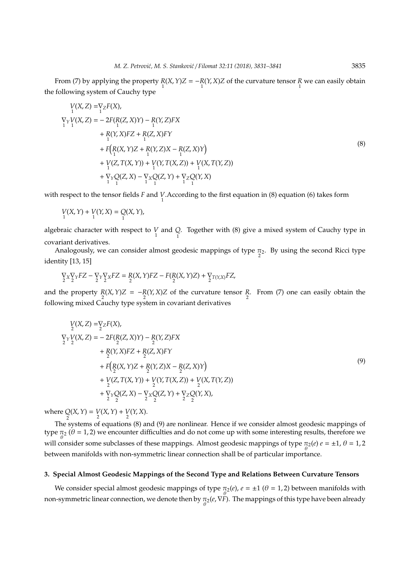From (7) by applying the property  $\frac{R(X, Y)Z}{1} = -\frac{R(Y, X)Z}{1}$  of the curvature tensor  $\frac{R}{1}$  we can easily obtain the following system of Cauchy type

$$
V(X, Z) = V_Z F(X),
$$
  
\n
$$
\nabla_Y V(X, Z) = -2F(P(X, Z)Y) - P(Y, Z)FX
$$
  
\n
$$
+ P(Y, X)FZ + P(Z, X)FY
$$
  
\n
$$
+ F(P(X, Y)Z + P(Y, Z)X - P(Z, X)Y)
$$
  
\n
$$
+ V(Z, T(X, Y)) + V(Y, T(X, Z)) + V(X, T(Y, Z))
$$
  
\n
$$
+ V_Y Q(Z, X) - V_X Q(Z, Y) + V_Z Z (Y, X)
$$
  
\n(8)

with respect to the tensor fields *F* and *V*.According to the first equation in (8) equation (6) takes form

$$
V(X, Y) + V(Y, X) = Q(X, Y),
$$

algebraic character with respect to  $V$  and  $Q$ . Together with (8) give a mixed system of Cauchy type in covariant derivatives.

Analogously, we can consider almost geodesic mappings of type  $\pi_2$ . By using the second Ricci type identity [13, 15]

$$
\underset{2}{\nabla_X}\underset{2}{\nabla_Y}FZ-\underset{2}{\nabla_Y}\underset{2}{\nabla_X}FZ=\underset{2}{R(X,Y)}FZ-F(\underset{2}{R(X,Y)}Z)+\underset{2}{\nabla_{T(Y,X)}FZ},
$$

and the property  $\frac{R}{2}(X, Y)Z = -\frac{R}{2}(Y, X)Z$  of the curvature tensor  $\frac{R}{2}$ . From (7) one can easily obtain the following mixed Cauchy type system in covariant derivatives

$$
V_2(X, Z) = V_2F(X),
$$
  
\n
$$
V_2Y_2(Y, Z) = -2F(P_2(Z, X)Y) - P_2(Y, Z)FX
$$
  
\n
$$
+ P_2(Y, X)FZ + P_2(Z, X)FY
$$
  
\n
$$
+ F(P_2(X, Y)Z + P_2(Y, Z)X - P_2(Z, X)Y)
$$
  
\n
$$
+ V(Z, T(X, Y)) + V(Y, T(X, Z)) + V(X, T(Y, Z))
$$
  
\n
$$
+ V_2Y_2(Z, X) - V_2X_2(Z, Y) + V_2Z_2(Y, X),
$$
  
\n(9)

where  $Q(X, Y) = V(X, Y) + V(Y, X)$ .

<sup>2</sup><br>The systems of equations (8) and (9) are nonlinear. Hence if we consider almost geodesic mappings of type  $\pi_2$  ( $\theta$  = 1, 2) we encounter difficulties and do not come up with some interesting results, therefore we will consider some subclasses of these mappings. Almost geodesic mappings of type  $\pi_2(e) e = \pm 1$ ,  $\theta = 1$ , 2 between manifolds with non-symmetric linear connection shall be of particular importance.

#### **3. Special Almost Geodesic Mappings of the Second Type and Relations Between Curvature Tensors**

We consider special almost geodesic mappings of type  $\pi_2(e)$ ,  $e = \pm 1$  ( $\theta = 1, 2$ ) between manifolds with non-symmetric linear connection, we denote then by  $\pi_2(e,\nabla\bar{F})$ . The mappings of this type have been already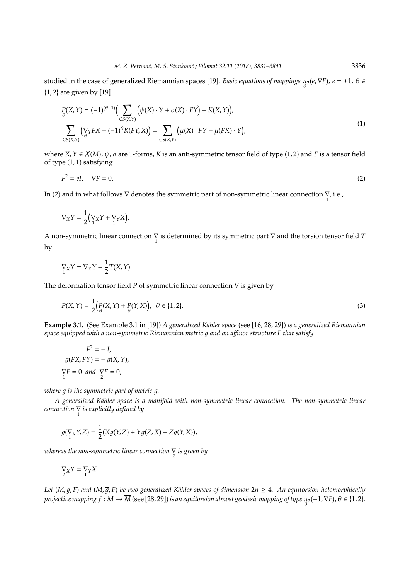studied in the case of generalized Riemannian spaces [19]. *Basic equations of mappings* π<sub>2</sub>(*e*, ∇*F*), *e* = ±1, *θ* ∈ {1, 2} are given by [19]

$$
P_{\theta}(X,Y) = (-1)^{(\theta-1)} \Big( \sum_{CS(X,Y)} \Big( \psi(X) \cdot Y + \sigma(X) \cdot FY \Big) + K(X,Y) \Big),
$$
  

$$
\sum_{CS(X,Y)} \Big( \nabla_Y FX - (-1)^{\theta} K(FY,X) \Big) = \sum_{CS(X,Y)} \Big( \mu(X) \cdot FY - \mu(FX) \cdot Y \Big),
$$
 (1)

where *X*,*Y* ∈ X(*M*), ψ, σ are 1-forms, *K* is an anti-symmetric tensor field of type (1, 2) and *F* is a tensor field of type (1, 1) satisfying

$$
F^2 = eI, \quad \nabla F = 0. \tag{2}
$$

In (2) and in what follows  $\nabla$  denotes the symmetric part of non-symmetric linear connection  $\sum_{1}$  i.e.,

$$
\nabla_X Y = \frac{1}{2} \Big( \nabla_X Y + \nabla_Y X \Big).
$$

A non-symmetric linear connection  $\frac{1}{1}$  is determined by its symmetric part  $\frac{1}{1}$  and the torsion tensor field *T* by

$$
\nabla_X Y = \nabla_X Y + \frac{1}{2} T(X, Y).
$$

The deformation tensor field *P* of symmetric linear connection ∇ is given by

$$
P(X,Y) = \frac{1}{2} \Big( \frac{P(X,Y) + P(Y,X)}{\theta} \Big), \quad \theta \in \{1,2\}.
$$
 (3)

**Example 3.1.** (See Example 3.1 in [19]) *A generalized Kähler space* (see [16, 28, 29]) *is a generalized Riemannian space equipped with a non-symmetric Riemannian metric* 1 *and an a*ffi*nor structure F that satisfy*

$$
F^{2} = -I,
$$
  
\n
$$
\underline{g}(FX, FY) = -\underline{g}(X, Y),
$$
  
\n
$$
\nabla F = 0 \text{ and } \nabla F = 0,
$$

*where*  $g$  *is the symmetric part of metric g.* 

*A generalized K¨ahler space is a manifold with non-symmetric linear connection. The non-symmetric linear connection* ∇ 1 *is explicitly defined by*

$$
\underline{g}(\nabla_X Y, Z) = \frac{1}{2}(Xg(Y, Z) + Yg(Z, X) - Zg(Y, X)),
$$

*whereas the non-symmetric linear connection* ∇ 2 *is given by*

$$
\underset{2}{\nabla}XY=\underset{1}{\nabla}YX.
$$

*Let* (*M*,  $g$ , *F*) and ( $\overline{M}$ ,  $\overline{g}$ ,  $\overline{F}$ ) be two generalized Kähler spaces of dimension 2n  $\geq$  4. An equitorsion holomorphically *projective mapping f* : M  $\rightarrow$   $\overline{M}$  (see [28, 29]) *is an equitorsion almost geodesic mapping of type*  $\pi_2$ *(*−1, VF),  $\theta$  ∈ {1, 2}.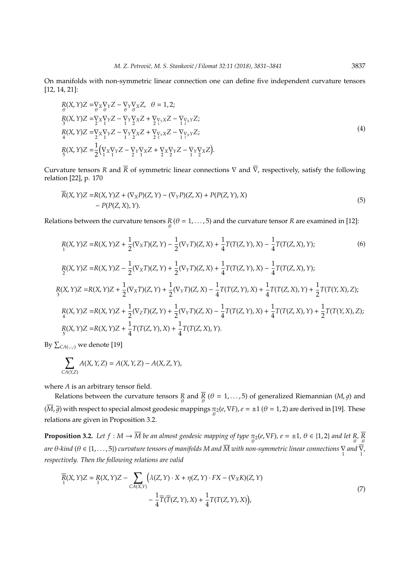On manifolds with non-symmetric linear connection one can define five independent curvature tensors [12, 14, 21]:

$$
R(X, Y)Z = \nabla_X \nabla_Y Z - \nabla_Y \nabla_X Z, \quad \theta = 1, 2; \nR(X, Y)Z = \nabla_X \nabla_Y Z - \nabla_Y \nabla_X Z + \nabla_{\nabla_Y X} Z - \nabla_{\nabla_X Y} Z; \nR(X, Y)Z = \nabla_X \nabla_Y Z - \nabla_Y \nabla_X Z + \nabla_{\nabla_Y X} Z - \nabla_{\nabla_X Y} Z; \nA(X, Y)Z = \nabla_X \nabla_Y Z - \nabla_Y \nabla_X Z + \nabla_{\nabla_Y X} Z - \nabla_Y \nabla_X Z; \nB(X, Y)Z = \n\frac{1}{2} (\nabla_X \nabla_Y Z - \nabla_Y \nabla_X Z + \nabla_X \nabla_Y Z - \nabla_Y \nabla_X Z).
$$
\n(4)

Curvature tensors *R* and  $\bar{R}$  of symmetric linear connections  $\nabla$  and  $\bar{\nabla}$ , respectively, satisfy the following relation [22], p. 170

$$
\overline{R}(X,Y)Z = R(X,Y)Z + (\nabla_X P)(Z,Y) - (\nabla_Y P)(Z,X) + P(P(Z,Y),X)
$$
  
- P(P(Z,X),Y). (5)

Relations between the curvature tensors  $\mathcal{R}(\theta = 1, \ldots, 5)$  and the curvature tensor  $\mathcal{R}$  are examined in [12]:

$$
R(X,Y)Z = R(X,Y)Z + \frac{1}{2}(\nabla_X T)(Z,Y) - \frac{1}{2}(\nabla_Y T)(Z,X) + \frac{1}{4}T(T(Z,Y),X) - \frac{1}{4}T(T(Z,X),Y);
$$
\n(6)  
\n
$$
R(X,Y)Z = R(X,Y)Z - \frac{1}{2}(\nabla_X T)(Z,Y) + \frac{1}{2}(\nabla_Y T)(Z,X) + \frac{1}{4}T(T(Z,Y),X) - \frac{1}{4}T(T(Z,X),Y);
$$
\n
$$
R(X,Y)Z = R(X,Y)Z + \frac{1}{2}(\nabla_X T)(Z,Y) + \frac{1}{2}(\nabla_Y T)(Z,X) - \frac{1}{4}T(T(Z,Y),X) + \frac{1}{4}T(T(Z,X),Y) + \frac{1}{2}T(T(Y,X),Z);
$$
\n
$$
R(X,Y)Z = R(X,Y)Z + \frac{1}{2}(\nabla_Z T)(Z,Y) + \frac{1}{2}(\nabla_Y T)(Z,X) - \frac{1}{4}T(T(Z,Y),X) + \frac{1}{4}T(T(Z,X),Y) + \frac{1}{2}T(T(Y,X),Z);
$$
\n
$$
R(X,Y)Z = R(X,Y)Z + \frac{1}{4}T(T(Z,Y),X) + \frac{1}{4}T(T(Z,X),Y).
$$

By  $\sum_{CA(\cdot,\cdot,\cdot)}$  we denote [19]

$$
\sum_{CA(Y,Z)} A(X,Y,Z) = A(X,Y,Z) - A(X,Z,Y),
$$

where *A* is an arbitrary tensor field.

Relations between the curvature tensors *R* and *R* ( $\theta = 1,...,5$ ) of generalized Riemannian (*M*, *g*) and  $(\overline{M}, \overline{g})$  with respect to special almost geodesic mappings  $\pi_2(e, \nabla F)$ ,  $e = \pm 1$  ( $\theta = 1, 2$ ) are derived in [19]. These relations are given in Proposition 3.2.

**Proposition 3.2.** Let  $f : M \to \overline{M}$  be an almost geodesic mapping of type  $\pi_2(e, \nabla F)$ ,  $e = \pm 1$ ,  $\theta \in \{1, 2\}$  and let  $\underset{\theta}{R}$ ,  $\overline{R}$ *are*  $\theta$ *-kind (* $\theta \in \{1,\ldots,5\}$ *) curvature tensors of manifolds M and*  $\overline{M}$  *with non-symmetric linear connections*  $\sum\limits_1$  *and*  $\overline{\sum\limits_1}$ *respectively. Then the following relations are valid*

$$
\overline{R}(X,Y)Z = R(X,Y)Z - \sum_{C A(X,Y)} \left(\lambda(Z,Y) \cdot X + \eta(Z,Y) \cdot FX - (\nabla_X K)(Z,Y) - \frac{1}{4} \overline{T}(\overline{T}(Z,Y),X) + \frac{1}{4} \overline{T}(T(Z,Y),X)\right),\tag{7}
$$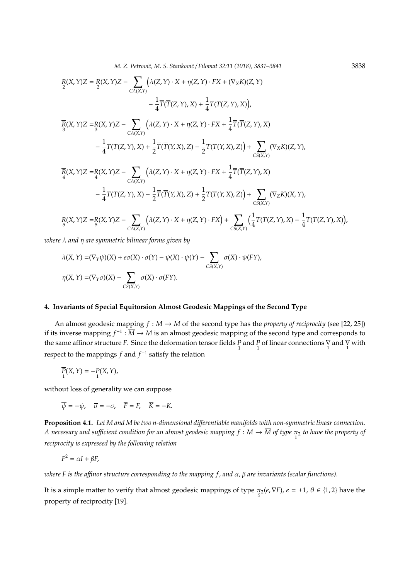$$
\overline{R}(X,Y)Z = \frac{R}{2}(X,Y)Z - \sum_{CA(X,Y)} (\lambda(Z,Y) \cdot X + \eta(Z,Y) \cdot FX + (\nabla_X K)(Z,Y) \n- \frac{1}{4} \overline{T}(\overline{T}(Z,Y),X) + \frac{1}{4} T(T(Z,Y),X)),
$$
\n
$$
\overline{R}(X,Y)Z = R(X,Y)Z - \sum_{CA(X,Y)} (\lambda(Z,Y) \cdot X + \eta(Z,Y) \cdot FX + \frac{1}{4} \overline{T}(\overline{T}(Z,Y),X) \n- \frac{1}{4} T(T(Z,Y),X) + \frac{1}{2} \overline{T}(\overline{T}(Y,X),Z) - \frac{1}{2} T(T(Y,X),Z) + \sum_{CS(X,Y)} (\nabla_X K)(Z,Y),
$$
\n
$$
\overline{R}(X,Y)Z = R(X,Y)Z - \sum_{CA(X,Y)} (\lambda(Z,Y) \cdot X + \eta(Z,Y) \cdot FX + \frac{1}{4} \overline{T}(\overline{T}(Z,Y),X) \n- \frac{1}{4} T(T(Z,Y),X) - \frac{1}{2} \overline{T}(\overline{T}(Y,X),Z) + \frac{1}{2} T(T(Y,X),Z) + \sum_{CS(X,Y)} (\nabla_Z K)(X,Y),
$$
\n
$$
\overline{R}(X,Y)Z = R(X,Y)Z - \sum_{CA(X,Y)} (\lambda(Z,Y) \cdot X + \eta(Z,Y) \cdot FX) + \sum_{CS(X,Y)} (\frac{1}{4} \overline{T}(\overline{T}(Z,Y),X) - \frac{1}{4} T(T(Z,Y),X)),
$$

*where* λ *and* η *are symmetric bilinear forms given by*

$$
\lambda(X,Y) = (\nabla_Y \psi)(X) + e\sigma(X) \cdot \sigma(Y) - \psi(X) \cdot \psi(Y) - \sum_{CS(X,Y)} \sigma(X) \cdot \psi(FY),
$$
  

$$
\eta(X,Y) = (\nabla_Y \sigma)(X) - \sum_{CS(X,Y)} \sigma(X) \cdot \sigma(FY).
$$

## **4. Invariants of Special Equitorsion Almost Geodesic Mappings of the Second Type**

An almost geodesic mapping  $f : M \to \overline{M}$  of the second type has the *property of reciprocity* (see [22, 25]) if its inverse mapping  $f^{-1}$  :  $\overline{M}$  →  $M$  is an almost geodesic mapping of the second type and corresponds to the same affinor structure *F*. Since the deformation tensor fields  $\frac{P}{1}$  and  $\frac{\overline{P}}{1}$  of linear connections  $\frac{\nabla}{1}$  and  $\frac{\overline{\nabla}}{1}$  with respect to the mappings *f* and *f* −1 satisfy the relation

$$
\overline{P}_{1}(X,Y)=-P_{1}(X,Y),
$$

without loss of generality we can suppose

$$
\overline{\psi} = -\psi, \quad \overline{\sigma} = -\sigma, \quad \overline{F} = F, \quad \overline{K} = -K.
$$

**Proposition 4.1.** Let M and  $\overline{M}$  be two n-dimensional differentiable manifolds with non-symmetric linear connection. *A necessary and sufficient condition for an almost geodesic mapping*  $f : M \to \overline{M}$  *of type*  $\pi_2$  *to have the property of reciprocity is expressed by the following relation*

$$
F^2 = \alpha I + \beta F,
$$

*where F is the a*ffi*nor structure corresponding to the mapping f , and* α*,* β *are invariants (scalar functions).*

It is a simple matter to verify that almost geodesic mappings of type  $\pi_2(e, \nabla F)$ ,  $e = \pm 1$ ,  $\theta \in \{1, 2\}$  have the property of reciprocity [19].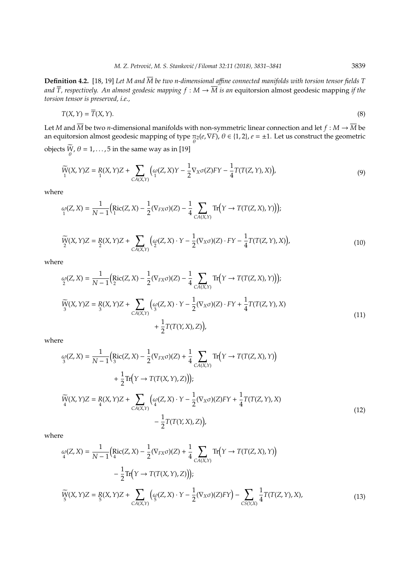**Definition 4.2.** [18, 19] *Let M and M be two n-dimensional a*ffi*ne connected manifolds with torsion tensor fields T* and  $\overline{T}$ , respectively. An almost geodesic mapping  $f : M \to \overline{M}$  is an equitorsion almost geodesic mapping if the *torsion tensor is preserved, i.e.,*

$$
T(X,Y) = \overline{T}(X,Y). \tag{8}
$$

Let *M* and  $\overline{M}$  be two *n*-dimensional manifolds with non-symmetric linear connection and let  $f : M \to \overline{M}$  be an equitorsion almost geodesic mapping of type  $\pi_2(e,\nabla F)$ ,  $\theta \in \{1,2\}$ ,  $e=\pm 1$ . Let us construct the geometric objects  $W$ ,  $\theta = 1, \ldots, 5$  in the same way as in [19]

$$
\widetilde{W}(X,Y)Z = R(X,Y)Z + \sum_{CA(X,Y)} \left( \omega(Z,X)Y - \frac{1}{2} \nabla_X \sigma(Z)FY - \frac{1}{4} T(T(Z,Y),X) \right),\tag{9}
$$

where

$$
\omega(Z, X) = \frac{1}{N-1} \Bigl( \mathrm{Ric}(Z, X) - \frac{1}{2} (\nabla_{FX}\sigma)(Z) - \frac{1}{4} \sum_{CA(X, Y)} \mathrm{Tr}\Bigl( Y \rightarrow T(T(Z, X), Y) \Bigr) \Bigr);
$$

$$
\widetilde{W}(X,Y)Z = R(X,Y)Z + \sum_{CA(X,Y)} \left( \omega(Z,X) \cdot Y - \frac{1}{2} (\nabla_X \sigma)(Z) \cdot FY - \frac{1}{4} T(T(Z,Y),X) \right),\tag{10}
$$

where

$$
\omega_{2}(Z, X) = \frac{1}{N-1} \Big( \text{Ric}(Z, X) - \frac{1}{2} (\nabla_{FX}\sigma)(Z) - \frac{1}{4} \sum_{C A(X,Y)} \text{Tr}\Big(Y \to T(T(Z, X), Y)\Big) \Big);
$$
  
\n
$$
\widetilde{W}(X, Y)Z = R(X, Y)Z + \sum_{C A(X,Y)} \Big( \omega_{3}(Z, X) \cdot Y - \frac{1}{2} (\nabla_{X}\sigma)(Z) \cdot FY + \frac{1}{4} T(T(Z, Y), X) + \frac{1}{2} T(T(Y, X), Z) \Big), \tag{11}
$$

where

$$
\omega_{3}(Z, X) = \frac{1}{N-1} \Big( \text{Ric}(Z, X) - \frac{1}{2} (\nabla_{FX}\sigma)(Z) + \frac{1}{4} \sum_{C A(X,Y)} \text{Tr}\Big(Y \to T(T(Z, X), Y)\Big) \n+ \frac{1}{2} \text{Tr}\Big(Y \to T(T(X, Y), Z)\Big)\Big); \n\widetilde{W}(X, Y)Z = R(X, Y)Z + \sum_{C A(X,Y)} \Big(\omega_{4}(Z, X) \cdot Y - \frac{1}{2} (\nabla_{X}\sigma)(Z)FY + \frac{1}{4} T(T(Z, Y), X) \n- \frac{1}{2} T(T(Y, X), Z)\Big),
$$
\n(12)

where

$$
\omega(Z, X) = \frac{1}{N-1} \Big( \text{Ric}(Z, X) - \frac{1}{2} (\nabla_{FX}\sigma)(Z) + \frac{1}{4} \sum_{C A(X,Y)} \text{Tr}\Big(Y \to T(T(Z, X), Y)\Big) - \frac{1}{2} \text{Tr}\Big(Y \to T(T(X, Y), Z)\Big) \Big);
$$
  

$$
\widetilde{W}(X, Y)Z = R(X, Y)Z + \sum_{C A(X,Y)} \Big(\omega(Z, X) \cdot Y - \frac{1}{2} (\nabla_X \sigma)(Z) FY\Big) - \sum_{C S(Y,X)} \frac{1}{4} T(T(Z, Y), X),
$$
 (13)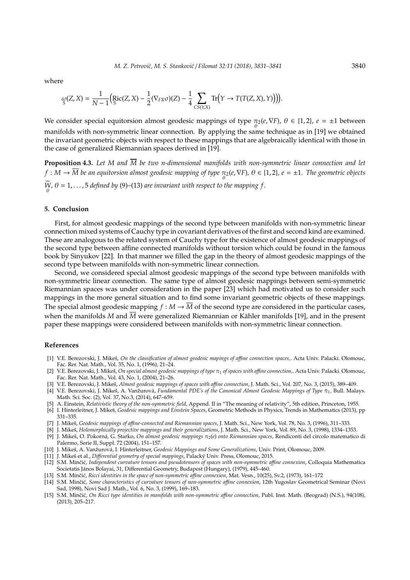where

$$
\omega_{5}(Z,X)=\frac{1}{N-1}\Big(\mathrm{Ric}(Z,X)-\frac{1}{2}(\nabla_{FX}\sigma)(Z)-\frac{1}{4}\sum_{CS(Y,X)}\mathrm{Tr}\Big(Y\to T(T(Z,X),Y)\Big)\Big).
$$

We consider special equitorsion almost geodesic mappings of type  $\pi_2(e, \nabla F)$ ,  $\theta \in \{1, 2\}$ ,  $e = \pm 1$  between manifolds with non-symmetric linear connection. By applying the same technique as in [19] we obtained the invariant geometric objects with respect to these mappings that are algebraically identical with those in the case of generalized Riemannian spaces derived in [19].

**Proposition 4.3.** Let M and  $\overline{M}$  be two n-dimensional manifolds with non-symmetric linear connection and let  $f: M \to \overline{M}$  be an equitorsion almost geodesic mapping of type  $\pi_2(e,\nabla F)$ ,  $\theta \in \{1,2\}$ ,  $e=\pm 1$ . The geometric objects *W*,  $\theta = 1, \ldots, 5$  *defined by* (9)–(13) *are invariant with respect to the mapping*  $f$ .

#### **5. Conclusion**

First, for almost geodesic mappings of the second type between manifolds with non-symmetric linear connection mixed systems of Cauchy type in covariant derivatives of the first and second kind are examined. These are analogous to the related system of Cauchy type for the existence of almost geodesic mappings of the second type between affine connected manifolds without torsion which could be found in the famous book by Sinyukov [22]. In that manner we filled the gap in the theory of almost geodesic mappings of the second type between manifolds with non-symmetric linear connection.

Second, we considered special almost geodesic mappings of the second type between manifolds with non-symmetric linear connection. The same type of almost geodesic mappings between semi-symmetric Riemannian spaces was under consideration in the paper [23] which had motivated us to consider such mappings in the more general situation and to find some invariant geometric objects of these mappings. The special almost geodesic mapping  $f : M \to \overline{M}$  of the second type are considered in the particular cases, when the manifolds *M* and *M* were generalized Riemannian or Kähler manifolds [19], and in the present paper these mappings were considered between manifolds with non-symmetric linear connection.

### **References**

- [1] V.E. Berezovski, J. Mikeš, On the classification of almost geodesic mapings of affine connection spaces,. Acta Univ. Palacki. Olomouc, Fac. Rer. Nat. Math., Vol. 35, No. 1, (1996), 21–24.
- [2] V.E. Berezovski, J. Mikeš, *On special almost geodesic mappings of type* π<sub>1</sub> of spaces with affine connection,. Acta Univ. Palacki. Olomouc, Fac. Rer. Nat. Math., Vol. 43, No. 1, (2004), 21–26.
- [3] V.E. Berezovski, J. Mikeš, Almost geodesic mappings of spaces with affine connection, J. Math. Sci., Vol. 207, No. 3, (2015), 389-409.
- [4] V.E. Berezovski, J. Mikeš, A. Vanžurová, Fundamental PDE's of the Canonical Almost Geodesic Mappings of Type π<sub>1</sub>, Bull. Malays. Math. Sci. Soc. (2), Vol. 37, No.3, (2014), 647–659.
- [5] A. Einstein, *Relativistic theory of the non-symmetric field*, Append. II in "The meaning of relativity", 5th edition, Princeton, 1955.
- [6] I. Hinterleitner, J. Mikeš, *Geodesic mappings and Einstein Spaces*, Geometric Methods in Physics, Trends in Mathematics (2013), pp 331–335.
- [7] J. Mikeš, Geodesic mappings of affine-connected and Riemannian spaces, J. Math. Sci., New York, Vol. 78, No. 3, (1996), 311–333.
- [8] J. Mikeš, Holomorphically projective mappings and their generalizations, J. Math. Sci., New York, Vol. 89, No. 3, (1998), 1334-1353. [9] J. Mikeš, O. Pokorná, G. Starko, On almost geodesic mappings π<sub>2</sub>(e) onto Riemannian spaces, Rendiconti del circolo matematico di Palermo, Serie II, Suppl. 72 (2004), 151–157.
- [10] J. Mikeš, A. Vanžurová, I. Hinterleitner, Geodesic Mappings and Some Generalizations, Univ. Print, Olomouc, 2009.
- [11] J. Mikeš et al., Differential geometry of special mappings, Palacký Univ. Press, Olomouc, 2015.
- [12] S.M. Minčić, *Independent curvature tensors and pseudotensors of spaces with non-symmetric affine connexion*, Colloquia Mathematica Societatis János Bolayai, 31, Differential Geometry, Budapest (Hungary), (1979), 445-460.
- [13] S.M. Minčić, Ricci identities in the space of non-symmetric affine connexion, Mat. Vesn., 10(25), Sv.2, (1973), 161-172
- [14] S.M. Minčić, Some characteristics of curvature tensors of non-symmetric affine connexion, 12th Yugoslav Geometrical Seminar (Novi Sad, 1998), Novi Sad J. Math., Vol. 6, No. 3, (1999), 169–183.
- [15] S.M. Minčić, On Ricci type identities in manifolds with non-symmetric affine connection, Publ. Inst. Math. (Beograd) (N.S.), 94(108), (2013), 205–217.